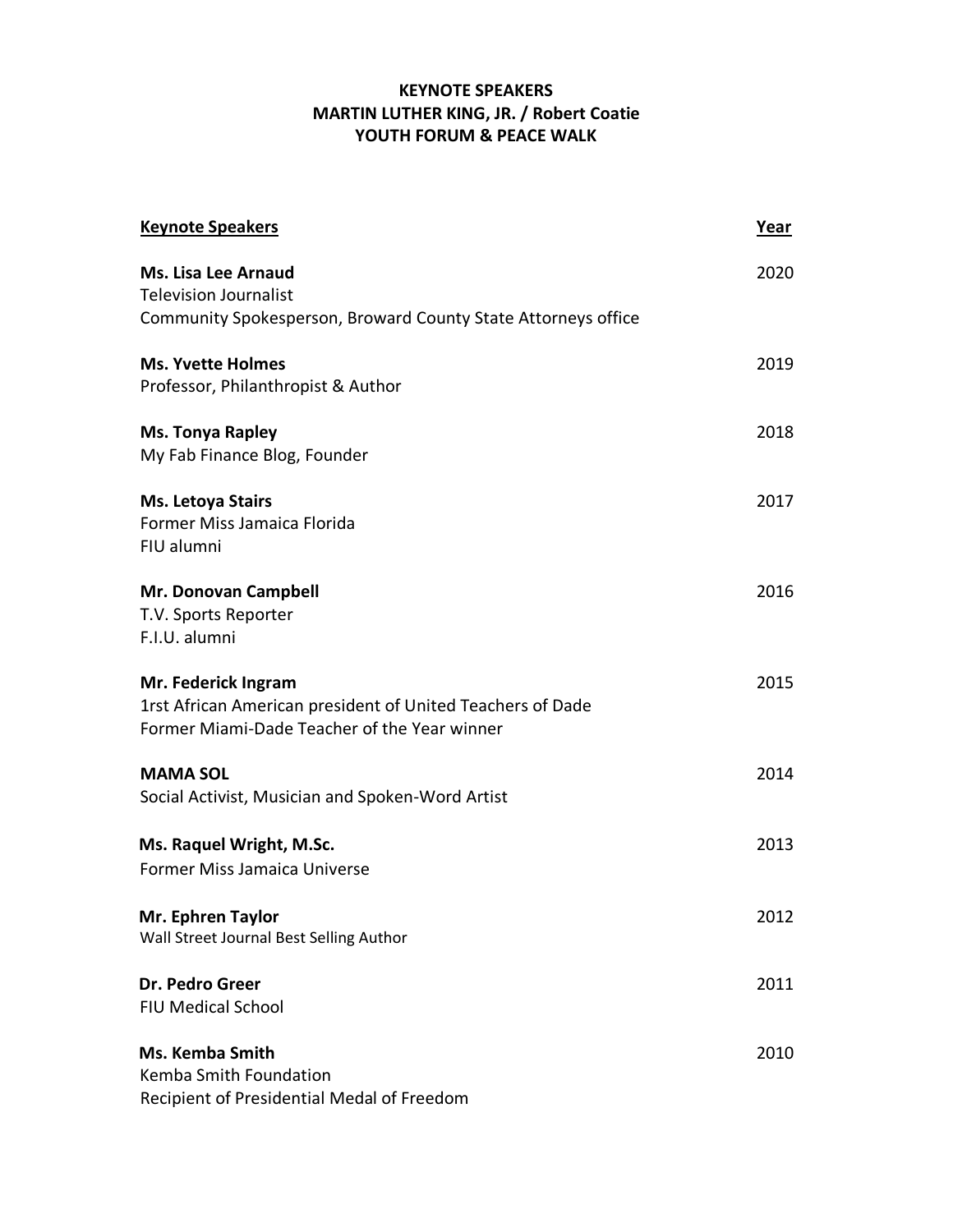## **KEYNOTE SPEAKERS MARTIN LUTHER KING, JR. / Robert Coatie YOUTH FORUM & PEACE WALK**

| <b>Keynote Speakers</b>                                                                                                           | Year |
|-----------------------------------------------------------------------------------------------------------------------------------|------|
| <b>Ms. Lisa Lee Arnaud</b><br><b>Television Journalist</b><br>Community Spokesperson, Broward County State Attorneys office       | 2020 |
| <b>Ms. Yvette Holmes</b><br>Professor, Philanthropist & Author                                                                    | 2019 |
| <b>Ms. Tonya Rapley</b><br>My Fab Finance Blog, Founder                                                                           | 2018 |
| <b>Ms. Letoya Stairs</b><br>Former Miss Jamaica Florida<br>FIU alumni                                                             | 2017 |
| Mr. Donovan Campbell<br>T.V. Sports Reporter<br>F.I.U. alumni                                                                     | 2016 |
| Mr. Federick Ingram<br>1rst African American president of United Teachers of Dade<br>Former Miami-Dade Teacher of the Year winner | 2015 |
| <b>MAMA SOL</b><br>Social Activist, Musician and Spoken-Word Artist                                                               | 2014 |
| Ms. Raquel Wright, M.Sc.<br><b>Former Miss Jamaica Universe</b>                                                                   | 2013 |
| Mr. Ephren Taylor<br>Wall Street Journal Best Selling Author                                                                      | 2012 |
| Dr. Pedro Greer<br><b>FIU Medical School</b>                                                                                      | 2011 |
| <b>Ms. Kemba Smith</b><br>Kemba Smith Foundation<br>Recipient of Presidential Medal of Freedom                                    | 2010 |